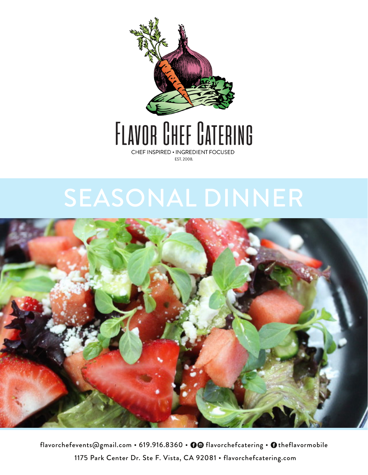

# FLAVOR CHEF CATERING CHEF INSPIRED . INGREDIENT FOCUSED

EST. 2008.

# SEASONAL DINNER



flavorchefevents@gmail.com • 619.916.8360 • 0@ flavorchefcatering • Otheflavormobile 1175 Park Center Dr. Ste F. Vista, CA 92081 . flavorchefcatering.com